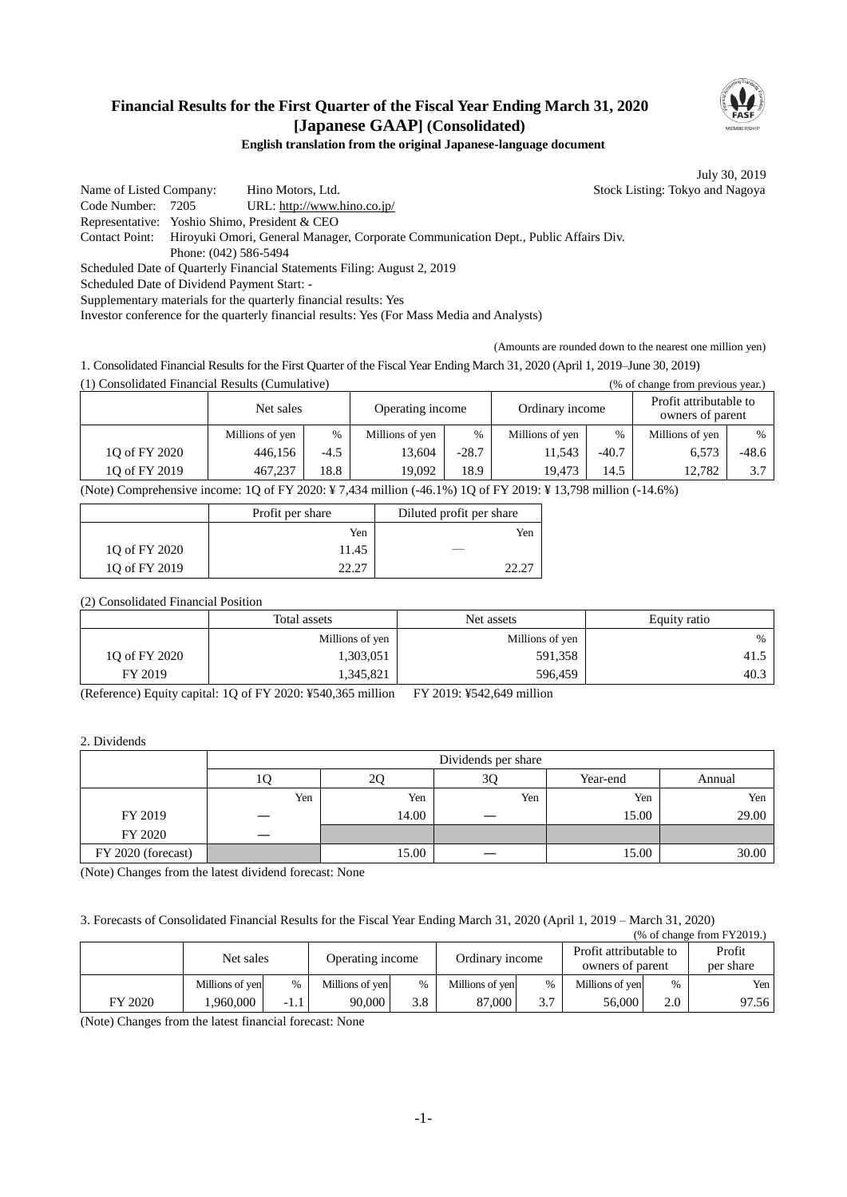## **Financial Results for the First Quarter of the Fiscal Year Ending March 31, 2020 [Japanese GAAP] (Consolidated)**



## **English translation from the original Japanese-language document**

July 30, 2019

Name of Listed Company: Hino Motors, Ltd. Stock Listing: Tokyo and Nagoya Code Number: 7205 URL: http://www.hino.co.jp/ Representative: Yoshio Shimo, President & CEO Contact Point: Hiroyuki Omori, General Manager, Corporate Communication Dept., Public Affairs Div. Phone: (042) 586-5494 Scheduled Date of Quarterly Financial Statements Filing: August 2, 2019 Scheduled Date of Dividend Payment Start: - Supplementary materials for the quarterly financial results: Yes

Investor conference for the quarterly financial results: Yes (For Mass Media and Analysts)

(Amounts are rounded down to the nearest one million yen)

1. Consolidated Financial Results for the First Quarter of the Fiscal Year Ending March 31, 2020 (April 1, 2019–June 30, 2019) (1) Consolidated Financial Results (Cumulative) (% of change from previous year.)

|               | Net sales<br>Operating income |        |                 | Ordinary income |                 | Profit attributable to<br>owners of parent |                 |         |
|---------------|-------------------------------|--------|-----------------|-----------------|-----------------|--------------------------------------------|-----------------|---------|
|               | Millions of yen               | %      | Millions of yen | $\%$            | Millions of yen | $\%$                                       | Millions of yen | $\%$    |
| 10 of FY 2020 | 446,156                       | $-4.5$ | 13.604          | $-28.7$         | 1.543           | $-40.7$                                    | 6,573           | $-48.6$ |
| 10 of FY 2019 | 467,237                       | 18.8   | 19.092          | 18.9            | 19.473          | 14.5                                       | 12.782          | 3.7     |

(Note) Comprehensive income: 1Q of FY 2020: ¥ 7,434 million (-46.1%) 1Q of FY 2019: ¥ 13,798 million (-14.6%)

|               | Profit per share | Diluted profit per share |
|---------------|------------------|--------------------------|
|               | Yen              | Yen                      |
| 10 of FY 2020 | 11.45            |                          |
| 10 of FY 2019 |                  |                          |

(2) Consolidated Financial Position

|               | Total assets    | Net assets      | Equity ratio |  |
|---------------|-----------------|-----------------|--------------|--|
|               | Millions of yen | Millions of yen | $\%$         |  |
| 10 of FY 2020 | 1,303,051       | 591,358         | 41.5         |  |
| FY 2019       | 345,821         | 596,459         | 40.3         |  |

(Reference) Equity capital: 1Q of FY 2020: ¥540,365 million FY 2019: ¥542,649 million

2. Dividends

|                    | Dividends per share |       |     |          |        |  |  |  |
|--------------------|---------------------|-------|-----|----------|--------|--|--|--|
|                    |                     | 2Q    | 3Q  | Year-end | Annual |  |  |  |
|                    | Yen                 | Yen   | Yen | Yen      | Yen    |  |  |  |
| FY 2019            |                     | 14.00 |     | 15.00    | 29.00  |  |  |  |
| FY 2020            |                     |       |     |          |        |  |  |  |
| FY 2020 (forecast) |                     | 15.00 |     | 15.00    | 30.00  |  |  |  |

(Note) Changes from the latest dividend forecast: None

3. Forecasts of Consolidated Financial Results for the Fiscal Year Ending March 31, 2020 (April 1, 2019 – March 31, 2020)

| $%$ of change from $FY2019$ . |                 |      |                  |               |                 |               |                                            |      |                     |
|-------------------------------|-----------------|------|------------------|---------------|-----------------|---------------|--------------------------------------------|------|---------------------|
|                               | Net sales       |      | Operating income |               | Ordinary income |               | Profit attributable to<br>owners of parent |      | Profit<br>per share |
|                               | Millions of yen | %    | Millions of yen  | $\frac{0}{0}$ | Millions of yen | $\frac{0}{6}$ | Millions of yen                            | $\%$ | Yen                 |
| FY 2020                       | .960.000        | -1.1 | 90.000           | 3.8           | 87,000          | 3.7           | 56,000                                     | 2.0  | 97.56               |

(Note) Changes from the latest financial forecast: None